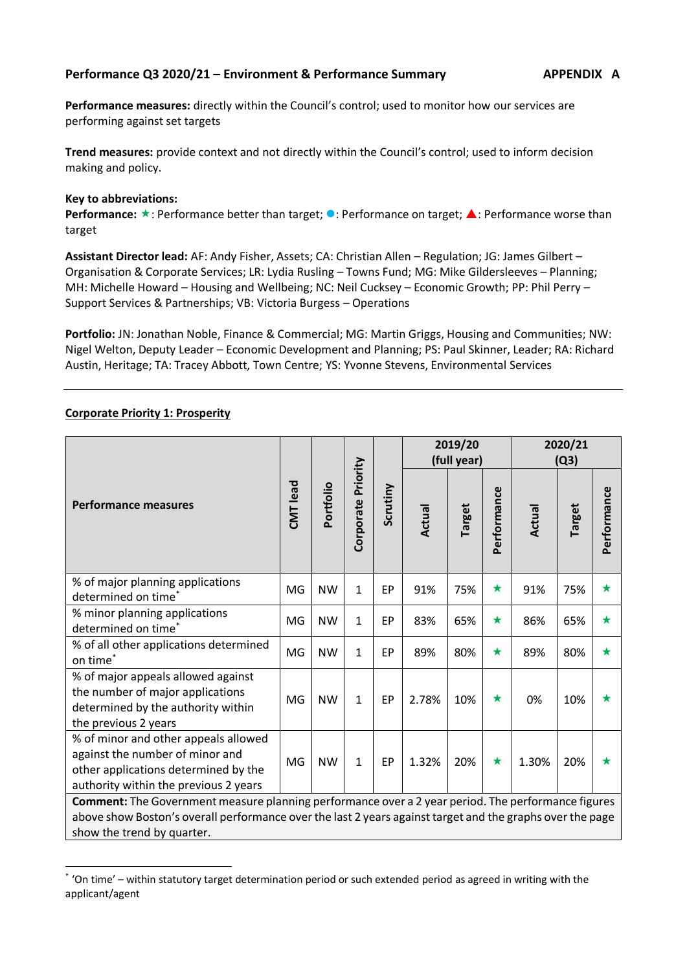#### **Performance Q3 2020/21 – Environment & Performance Summary APPENDIX A**

**Performance measures:** directly within the Council's control; used to monitor how our services are performing against set targets

**Trend measures:** provide context and not directly within the Council's control; used to inform decision making and policy.

#### **Key to abbreviations:**

**Performance:**  $\star$ : Performance better than target; **O**: Performance on target; **A**: Performance worse than target

**Assistant Director lead:** AF: Andy Fisher, Assets; CA: Christian Allen – Regulation; JG: James Gilbert – Organisation & Corporate Services; LR: Lydia Rusling – Towns Fund; MG: Mike Gildersleeves – Planning; MH: Michelle Howard – Housing and Wellbeing; NC: Neil Cucksey – Economic Growth; PP: Phil Perry – Support Services & Partnerships; VB: Victoria Burgess – Operations

**Portfolio:** JN: Jonathan Noble, Finance & Commercial; MG: Martin Griggs, Housing and Communities; NW: Nigel Welton, Deputy Leader – Economic Development and Planning; PS: Paul Skinner, Leader; RA: Richard Austin, Heritage; TA: Tracey Abbott, Town Centre; YS: Yvonne Stevens, Environmental Services

#### **Corporate Priority 1: Prosperity**

-

|                                                                                                                                                                                                                                               |    |           |                    |          |        | 2019/20<br>(full year) |             | 2020/21<br>(Q3) |        |             |
|-----------------------------------------------------------------------------------------------------------------------------------------------------------------------------------------------------------------------------------------------|----|-----------|--------------------|----------|--------|------------------------|-------------|-----------------|--------|-------------|
| <b>Performance measures</b>                                                                                                                                                                                                                   |    | Portfolio | Corporate Priority | Scrutiny | Actual | Target                 | Performance | Actual          | Target | Performance |
| % of major planning applications<br>determined on time*                                                                                                                                                                                       | MG | <b>NW</b> | $\mathbf{1}$       | EP       | 91%    | 75%                    | $\bigstar$  | 91%             | 75%    | $\star$     |
| % minor planning applications<br>determined on time <sup>*</sup>                                                                                                                                                                              | MG | <b>NW</b> | $\mathbf{1}$       | EP       | 83%    | 65%                    | $\bigstar$  | 86%             | 65%    | $\star$     |
| % of all other applications determined<br>on time*                                                                                                                                                                                            | MG | <b>NW</b> | $\mathbf{1}$       | EP       | 89%    | 80%                    | $\bigstar$  | 89%             | 80%    | ★           |
| % of major appeals allowed against<br>the number of major applications<br>determined by the authority within<br>the previous 2 years                                                                                                          | MG | <b>NW</b> | $\mathbf{1}$       | EP       | 2.78%  | 10%                    | $\bigstar$  | 0%              | 10%    | ★           |
| % of minor and other appeals allowed<br>against the number of minor and<br>other applications determined by the<br>authority within the previous 2 years                                                                                      | MG | <b>NW</b> | $\mathbf{1}$       | EP       | 1.32%  | 20%                    | $\bigstar$  | 1.30%           | 20%    |             |
| Comment: The Government measure planning performance over a 2 year period. The performance figures<br>above show Boston's overall performance over the last 2 years against target and the graphs over the page<br>show the trend by quarter. |    |           |                    |          |        |                        |             |                 |        |             |

<sup>\*</sup> 'On time' – within statutory target determination period or such extended period as agreed in writing with the applicant/agent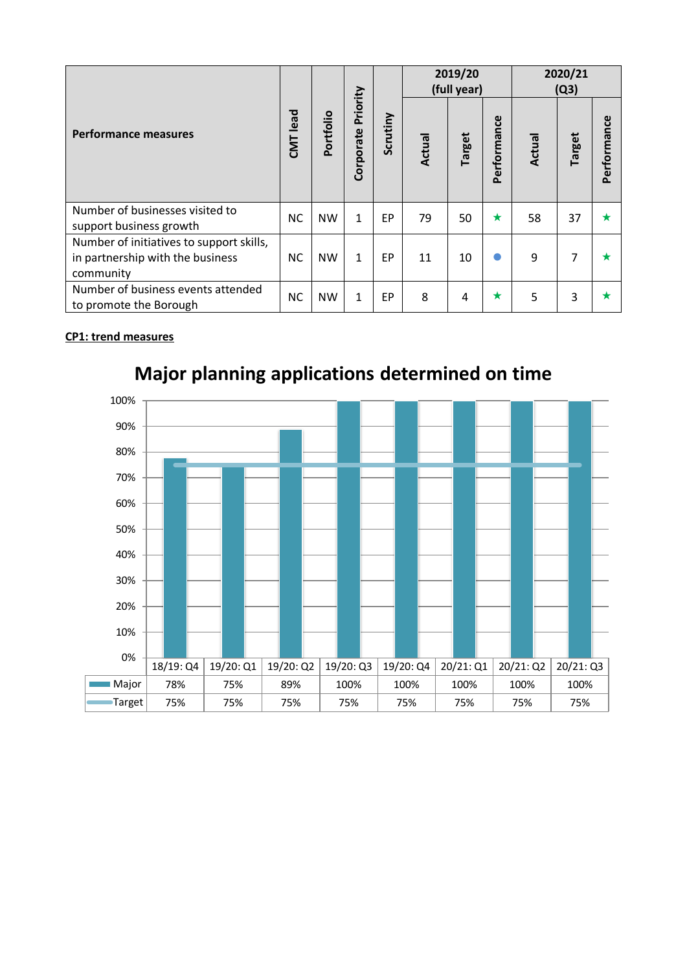|                                                                                           |           |           |                       |           |        | 2019/20<br>(full year) |             | 2020/21<br>(Q3) |               |                    |  |
|-------------------------------------------------------------------------------------------|-----------|-----------|-----------------------|-----------|--------|------------------------|-------------|-----------------|---------------|--------------------|--|
| <b>Performance measures</b>                                                               | CMT lead  | Portfolio | Priority<br>Corporate | Scrutiny  | Actual | Target                 | Performance | Actual          | <b>Target</b> | ၓ<br>č<br>Performa |  |
| Number of businesses visited to<br>support business growth                                | <b>NC</b> | <b>NW</b> | $\mathbf{1}$          | EP        | 79     | 50                     | $\star$     | 58              | 37            | $\star$            |  |
| Number of initiatives to support skills,<br>in partnership with the business<br>community | <b>NC</b> | <b>NW</b> | $\mathbf{1}$          | <b>EP</b> | 11     | 10                     |             | 9               | 7             |                    |  |
| Number of business events attended<br>to promote the Borough                              | <b>NC</b> | <b>NW</b> | $\mathbf{1}$          | EP        | 8      | 4                      | $\star$     | 5               | 3             |                    |  |

### **CP1: trend measures**



# **Major planning applications determined on time**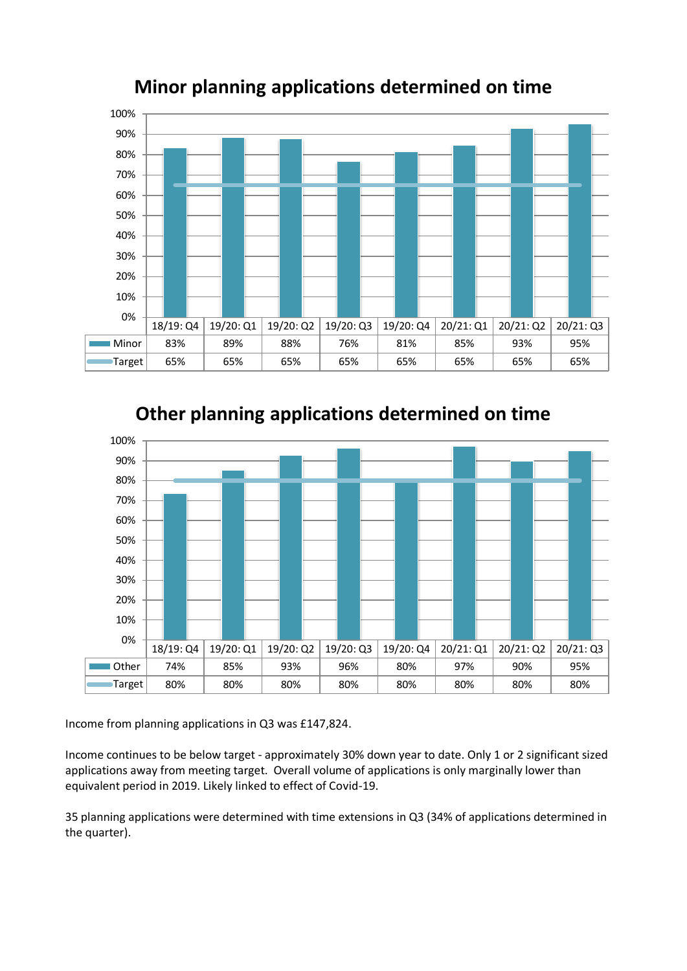

### **Minor planning applications determined on time**





Income from planning applications in Q3 was £147,824.

Income continues to be below target - approximately 30% down year to date. Only 1 or 2 significant sized applications away from meeting target. Overall volume of applications is only marginally lower than equivalent period in 2019. Likely linked to effect of Covid-19.

35 planning applications were determined with time extensions in Q3 (34% of applications determined in the quarter).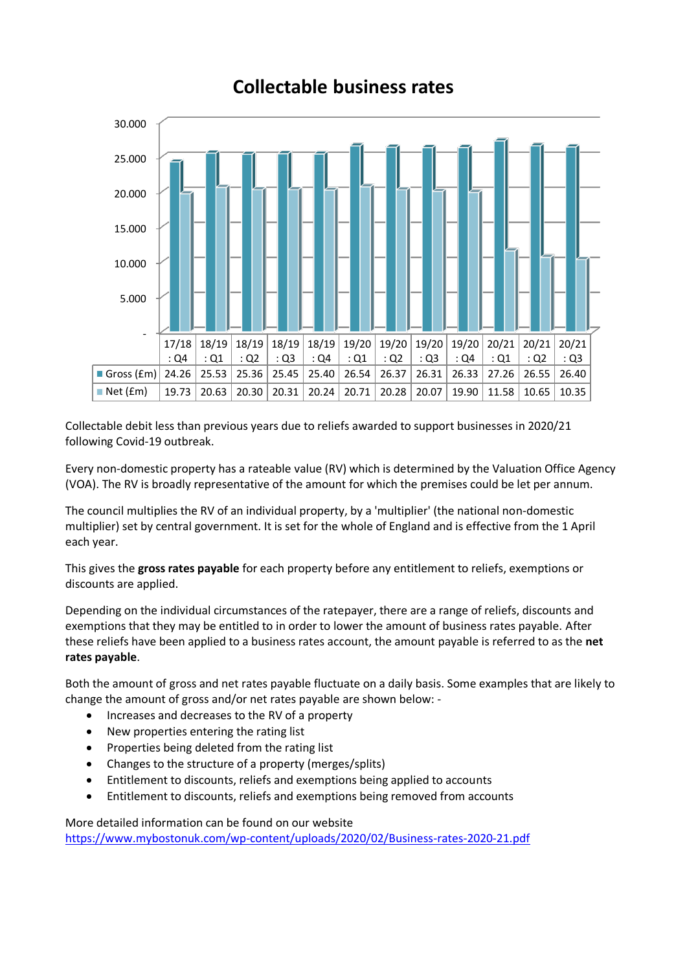### **Collectable business rates**

![](_page_3_Figure_1.jpeg)

Collectable debit less than previous years due to reliefs awarded to support businesses in 2020/21 following Covid-19 outbreak.

Every non-domestic property has a rateable value (RV) which is determined by the Valuation Office Agency (VOA). The RV is broadly representative of the amount for which the premises could be let per annum.

The council multiplies the RV of an individual property, by a 'multiplier' (the national non-domestic multiplier) set by central government. It is set for the whole of England and is effective from the 1 April each year.

This gives the **gross rates payable** for each property before any entitlement to reliefs, exemptions or discounts are applied.

Depending on the individual circumstances of the ratepayer, there are a range of reliefs, discounts and exemptions that they may be entitled to in order to lower the amount of business rates payable. After these reliefs have been applied to a business rates account, the amount payable is referred to as the **net rates payable**.

Both the amount of gross and net rates payable fluctuate on a daily basis. Some examples that are likely to change the amount of gross and/or net rates payable are shown below: -

- Increases and decreases to the RV of a property
- New properties entering the rating list
- Properties being deleted from the rating list
- Changes to the structure of a property (merges/splits)
- Entitlement to discounts, reliefs and exemptions being applied to accounts
- Entitlement to discounts, reliefs and exemptions being removed from accounts

More detailed information can be found on our website <https://www.mybostonuk.com/wp-content/uploads/2020/02/Business-rates-2020-21.pdf>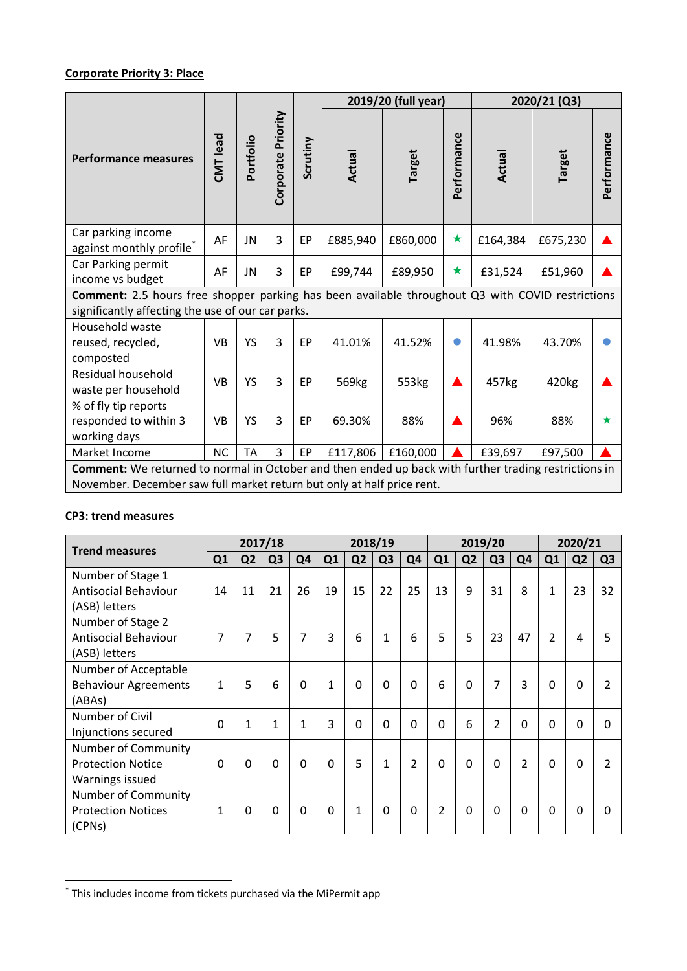### **Corporate Priority 3: Place**

|                                                                                                                                                                                 |           |           |                                |    |                   | 2019/20 (full year) | 2020/21 (Q3) |          |                   |             |  |  |
|---------------------------------------------------------------------------------------------------------------------------------------------------------------------------------|-----------|-----------|--------------------------------|----|-------------------|---------------------|--------------|----------|-------------------|-------------|--|--|
| <b>Performance measures</b>                                                                                                                                                     | CMT lead  | Portfolio | Corporate Priority<br>Scrutiny |    | Actual            | <b>Target</b>       | Performance  | Actual   | <b>Target</b>     | Performance |  |  |
| Car parking income<br>against monthly profile*                                                                                                                                  | AF        | JN        | 3                              | EP | £885,940          | £860,000            | ★            | £164,384 | £675,230          |             |  |  |
| Car Parking permit<br>income vs budget                                                                                                                                          | AF        | JN        | 3                              | EP | £99,744           | £89,950             | $\bigstar$   | £31,524  | £51,960           |             |  |  |
| Comment: 2.5 hours free shopper parking has been available throughout Q3 with COVID restrictions<br>significantly affecting the use of our car parks.                           |           |           |                                |    |                   |                     |              |          |                   |             |  |  |
| Household waste<br>reused, recycled,<br>composted                                                                                                                               | <b>VB</b> | YS        | 3                              | EP | 41.01%            | 41.52%              |              | 41.98%   | 43.70%            |             |  |  |
| Residual household<br>waste per household                                                                                                                                       | <b>VB</b> | YS        | 3                              | EP | 569 <sub>kg</sub> | 553kg               |              | 457kg    | 420 <sub>kg</sub> |             |  |  |
| % of fly tip reports<br>responded to within 3<br>working days                                                                                                                   | <b>VB</b> | YS        | 3                              | EP | 69.30%            | 88%                 |              | 96%      | 88%               | $\bigstar$  |  |  |
| Market Income                                                                                                                                                                   | <b>NC</b> | <b>TA</b> | 3                              | EP | £117,806          | £160,000            |              | £39,697  | £97,500           |             |  |  |
| Comment: We returned to normal in October and then ended up back with further trading restrictions in<br>November. December saw full market return but only at half price rent. |           |           |                                |    |                   |                     |              |          |                   |             |  |  |

### **CP3: trend measures**

-

| <b>Trend measures</b>       |          |                | 2017/18        |                |              |                | 2018/19        |                |                |                | 2019/20        | 2020/21        |                |                |                |
|-----------------------------|----------|----------------|----------------|----------------|--------------|----------------|----------------|----------------|----------------|----------------|----------------|----------------|----------------|----------------|----------------|
|                             | Q1       | Q <sub>2</sub> | Q <sub>3</sub> | Q <sub>4</sub> | Q1           | Q <sub>2</sub> | Q <sub>3</sub> | Q <sub>4</sub> | Q1             | Q <sub>2</sub> | Q <sub>3</sub> | Q <sub>4</sub> | Q1             | Q <sub>2</sub> | Q <sub>3</sub> |
| Number of Stage 1           |          |                |                |                |              |                |                |                |                |                |                |                |                |                |                |
| <b>Antisocial Behaviour</b> | 14       | 11             | 21             | 26             | 19           | 15             | 22             | 25             | 13             | 9              | 31             | 8              | 1              | 23             | 32             |
| (ASB) letters               |          |                |                |                |              |                |                |                |                |                |                |                |                |                |                |
| Number of Stage 2           |          |                |                |                |              |                |                |                |                |                |                |                |                |                |                |
| <b>Antisocial Behaviour</b> | 7        | 7              | 5              | 7              | 3            | 6              | 1              | 6              | 5              | 5              | 23             | 47             | $\overline{2}$ | 4              | 5              |
| (ASB) letters               |          |                |                |                |              |                |                |                |                |                |                |                |                |                |                |
| Number of Acceptable        |          |                |                |                |              |                |                |                |                |                |                |                |                |                |                |
| <b>Behaviour Agreements</b> | 1        | 5              | 6              | $\Omega$       | $\mathbf{1}$ | $\mathbf 0$    | $\mathbf{0}$   | $\mathbf{0}$   | 6              | $\mathbf 0$    | 7              | 3              | $\Omega$       | 0              |                |
| (ABAs)                      |          |                |                |                |              |                |                |                |                |                |                |                |                |                |                |
| Number of Civil             | $\Omega$ | $\mathbf{1}$   | $\mathbf{1}$   | $\mathbf{1}$   | 3            | $\Omega$       | $\Omega$       | $\Omega$       | $\Omega$       | 6              | $\overline{2}$ | $\Omega$       | $\Omega$       | $\Omega$       | <sup>0</sup>   |
| Injunctions secured         |          |                |                |                |              |                |                |                |                |                |                |                |                |                |                |
| Number of Community         |          |                |                |                |              |                |                |                |                |                |                |                |                |                |                |
| <b>Protection Notice</b>    | $\Omega$ | $\mathbf{0}$   | $\mathbf 0$    | $\Omega$       | $\Omega$     | 5              | 1              | 2              | $\Omega$       | $\mathbf 0$    | $\Omega$       | $\overline{2}$ | $\Omega$       | 0              |                |
| Warnings issued             |          |                |                |                |              |                |                |                |                |                |                |                |                |                |                |
| Number of Community         |          |                |                |                |              |                |                |                |                |                |                |                |                |                |                |
| <b>Protection Notices</b>   | 1        | $\Omega$       | $\Omega$       | $\Omega$       | $\Omega$     | 1              | 0              | $\Omega$       | $\overline{2}$ | $\mathbf{0}$   | $\Omega$       | $\Omega$       | $\Omega$       | 0              | O              |
| (CPNs)                      |          |                |                |                |              |                |                |                |                |                |                |                |                |                |                |

<sup>\*</sup> This includes income from tickets purchased via the MiPermit app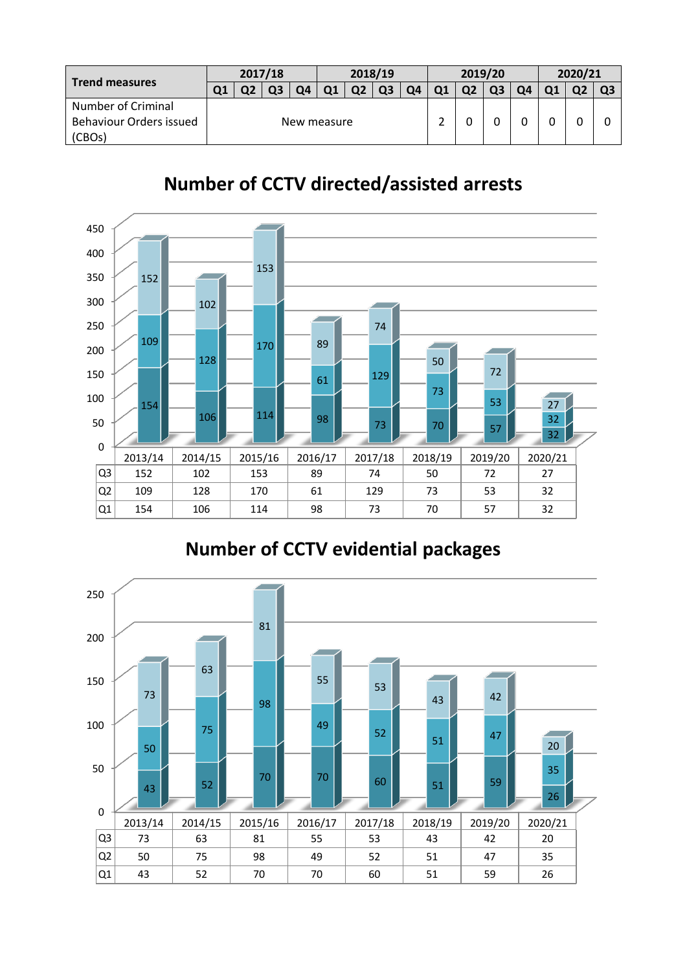| <b>Trend measures</b>     | 2017/18 |             |    |    | 2018/19 |    |  |    |    | 2019/20 |    | 2020/21 |  |  |  |
|---------------------------|---------|-------------|----|----|---------|----|--|----|----|---------|----|---------|--|--|--|
|                           | Ο1      |             | Q3 | Ο4 |         | Ο2 |  | Ο4 | Q1 | Q2      | Q3 | Ο4      |  |  |  |
| <b>Number of Criminal</b> |         |             |    |    |         |    |  |    |    |         |    |         |  |  |  |
| Behaviour Orders issued   |         | New measure |    |    |         |    |  |    |    |         |    |         |  |  |  |
| (CBOs)                    |         |             |    |    |         |    |  |    |    |         |    |         |  |  |  |

## **Number of CCTV directed/assisted arrests**

![](_page_5_Figure_2.jpeg)

## **Number of CCTV evidential packages**

![](_page_5_Figure_4.jpeg)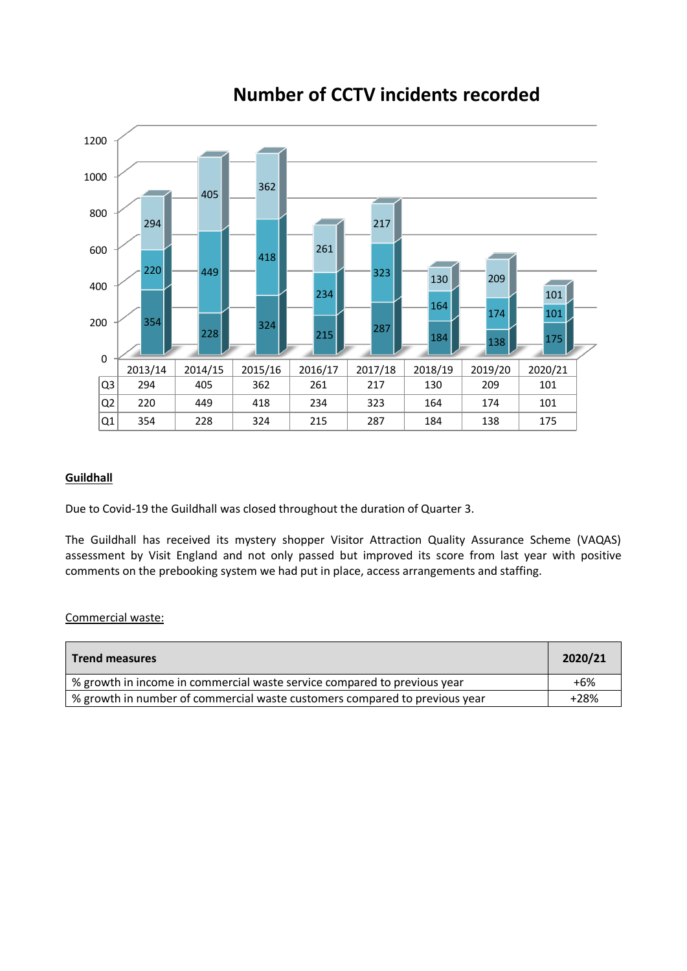![](_page_6_Figure_0.jpeg)

### **Number of CCTV incidents recorded**

### **Guildhall**

Due to Covid-19 the Guildhall was closed throughout the duration of Quarter 3.

The Guildhall has received its mystery shopper Visitor Attraction Quality Assurance Scheme (VAQAS) assessment by Visit England and not only passed but improved its score from last year with positive comments on the prebooking system we had put in place, access arrangements and staffing.

#### Commercial waste:

| <b>Trend measures</b>                                                      | 2020/21 |
|----------------------------------------------------------------------------|---------|
| % growth in income in commercial waste service compared to previous year   | $+6%$   |
| % growth in number of commercial waste customers compared to previous year | $+28%$  |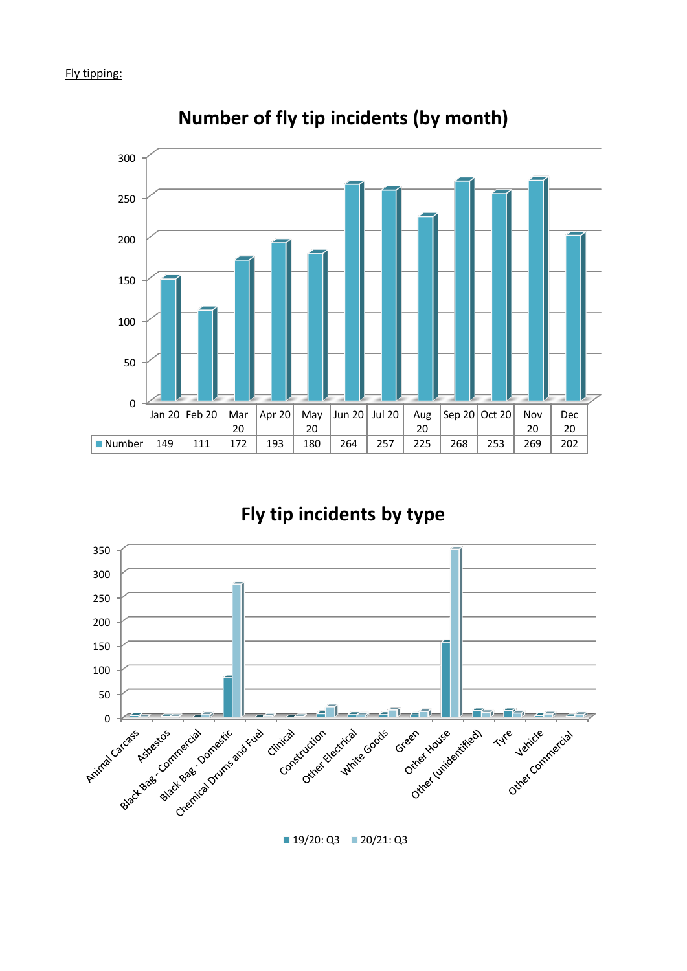![](_page_7_Figure_1.jpeg)

**Number of fly tip incidents (by month)**

### **Fly tip incidents by type**

![](_page_7_Figure_4.jpeg)

 $19/20: Q3$  20/21: Q3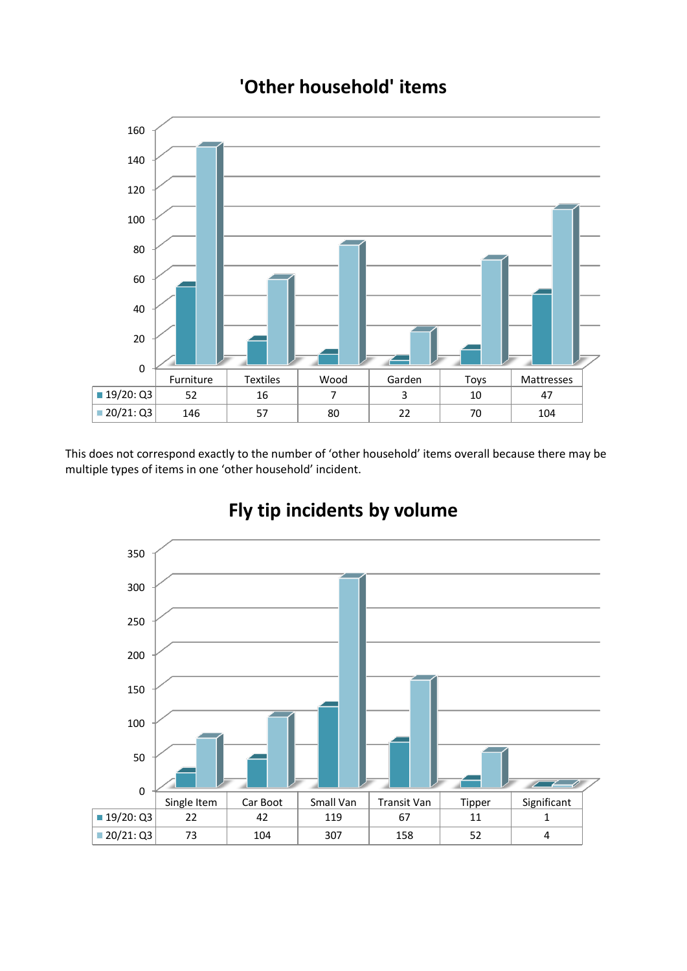## **'Other household' items**

![](_page_8_Figure_1.jpeg)

This does not correspond exactly to the number of 'other household' items overall because there may be multiple types of items in one 'other household' incident.

![](_page_8_Figure_3.jpeg)

## **Fly tip incidents by volume**